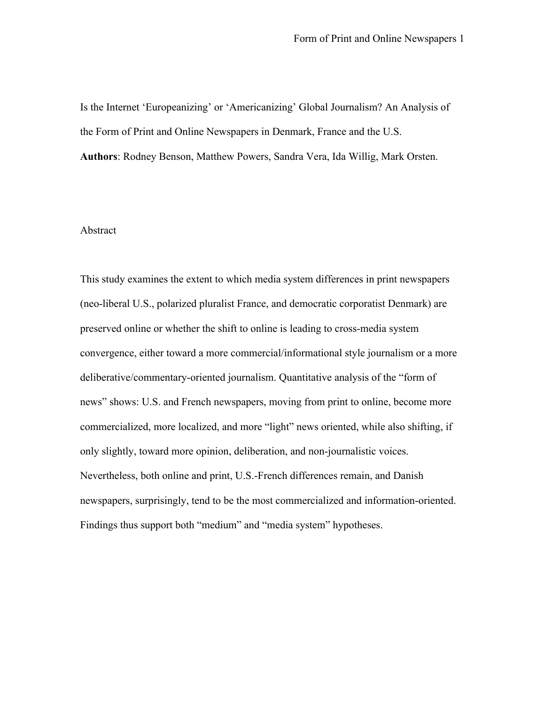Is the Internet 'Europeanizing' or 'Americanizing' Global Journalism? An Analysis of the Form of Print and Online Newspapers in Denmark, France and the U.S. **Authors**: Rodney Benson, Matthew Powers, Sandra Vera, Ida Willig, Mark Orsten.

## Abstract

This study examines the extent to which media system differences in print newspapers (neo-liberal U.S., polarized pluralist France, and democratic corporatist Denmark) are preserved online or whether the shift to online is leading to cross-media system convergence, either toward a more commercial/informational style journalism or a more deliberative/commentary-oriented journalism. Quantitative analysis of the "form of news" shows: U.S. and French newspapers, moving from print to online, become more commercialized, more localized, and more "light" news oriented, while also shifting, if only slightly, toward more opinion, deliberation, and non-journalistic voices. Nevertheless, both online and print, U.S.-French differences remain, and Danish newspapers, surprisingly, tend to be the most commercialized and information-oriented. Findings thus support both "medium" and "media system" hypotheses.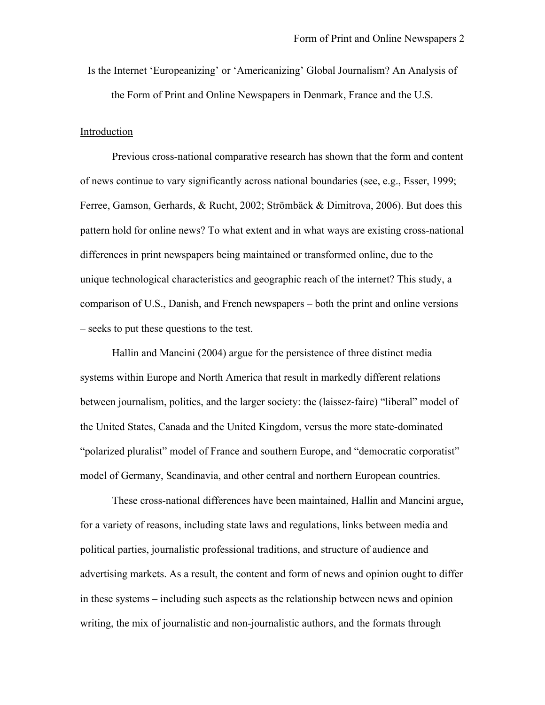Is the Internet 'Europeanizing' or 'Americanizing' Global Journalism? An Analysis of the Form of Print and Online Newspapers in Denmark, France and the U.S.

### **Introduction**

Previous cross-national comparative research has shown that the form and content of news continue to vary significantly across national boundaries (see, e.g., Esser, 1999; Ferree, Gamson, Gerhards, & Rucht, 2002; Strömbäck & Dimitrova, 2006). But does this pattern hold for online news? To what extent and in what ways are existing cross-national differences in print newspapers being maintained or transformed online, due to the unique technological characteristics and geographic reach of the internet? This study, a comparison of U.S., Danish, and French newspapers – both the print and online versions – seeks to put these questions to the test.

Hallin and Mancini (2004) argue for the persistence of three distinct media systems within Europe and North America that result in markedly different relations between journalism, politics, and the larger society: the (laissez-faire) "liberal" model of the United States, Canada and the United Kingdom, versus the more state-dominated "polarized pluralist" model of France and southern Europe, and "democratic corporatist" model of Germany, Scandinavia, and other central and northern European countries.

These cross-national differences have been maintained, Hallin and Mancini argue, for a variety of reasons, including state laws and regulations, links between media and political parties, journalistic professional traditions, and structure of audience and advertising markets. As a result, the content and form of news and opinion ought to differ in these systems – including such aspects as the relationship between news and opinion writing, the mix of journalistic and non-journalistic authors, and the formats through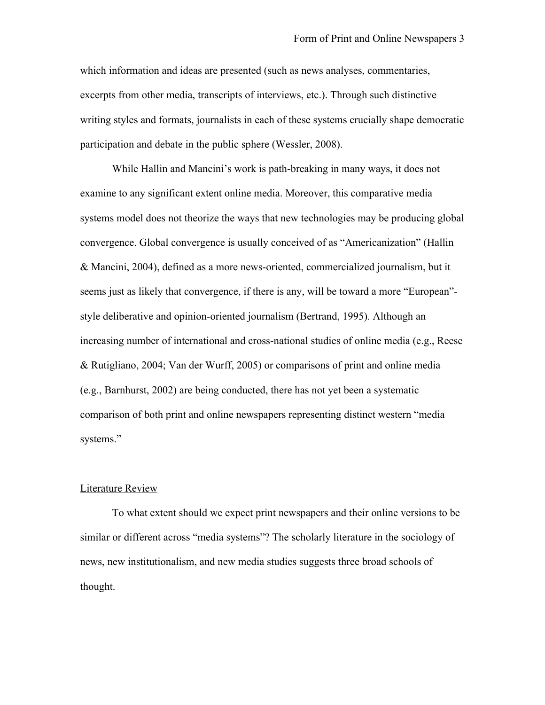which information and ideas are presented (such as news analyses, commentaries, excerpts from other media, transcripts of interviews, etc.). Through such distinctive writing styles and formats, journalists in each of these systems crucially shape democratic participation and debate in the public sphere (Wessler, 2008).

While Hallin and Mancini's work is path-breaking in many ways, it does not examine to any significant extent online media. Moreover, this comparative media systems model does not theorize the ways that new technologies may be producing global convergence. Global convergence is usually conceived of as "Americanization" (Hallin & Mancini, 2004), defined as a more news-oriented, commercialized journalism, but it seems just as likely that convergence, if there is any, will be toward a more "European" style deliberative and opinion-oriented journalism (Bertrand, 1995). Although an increasing number of international and cross-national studies of online media (e.g., Reese & Rutigliano, 2004; Van der Wurff, 2005) or comparisons of print and online media (e.g., Barnhurst, 2002) are being conducted, there has not yet been a systematic comparison of both print and online newspapers representing distinct western "media systems."

#### Literature Review

To what extent should we expect print newspapers and their online versions to be similar or different across "media systems"? The scholarly literature in the sociology of news, new institutionalism, and new media studies suggests three broad schools of thought.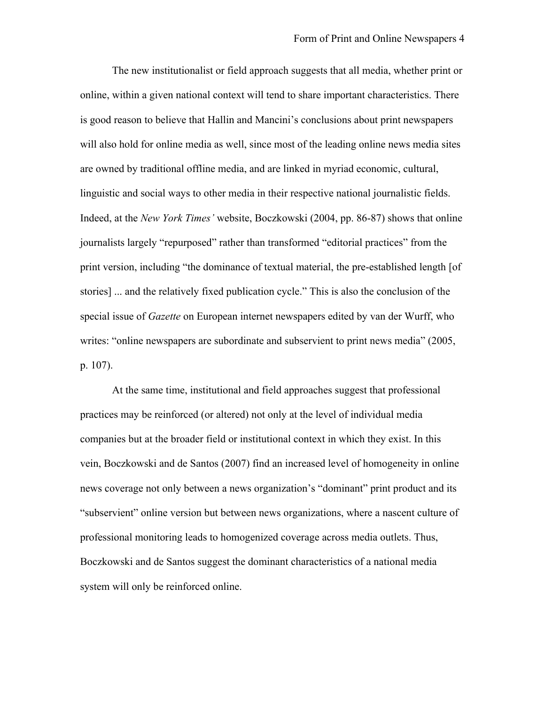The new institutionalist or field approach suggests that all media, whether print or online, within a given national context will tend to share important characteristics. There is good reason to believe that Hallin and Mancini's conclusions about print newspapers will also hold for online media as well, since most of the leading online news media sites are owned by traditional offline media, and are linked in myriad economic, cultural, linguistic and social ways to other media in their respective national journalistic fields. Indeed, at the *New York Times'* website, Boczkowski (2004, pp. 86-87) shows that online journalists largely "repurposed" rather than transformed "editorial practices" from the print version, including "the dominance of textual material, the pre-established length [of stories] ... and the relatively fixed publication cycle." This is also the conclusion of the special issue of *Gazette* on European internet newspapers edited by van der Wurff, who writes: "online newspapers are subordinate and subservient to print news media" (2005, p. 107).

At the same time, institutional and field approaches suggest that professional practices may be reinforced (or altered) not only at the level of individual media companies but at the broader field or institutional context in which they exist. In this vein, Boczkowski and de Santos (2007) find an increased level of homogeneity in online news coverage not only between a news organization's "dominant" print product and its "subservient" online version but between news organizations, where a nascent culture of professional monitoring leads to homogenized coverage across media outlets. Thus, Boczkowski and de Santos suggest the dominant characteristics of a national media system will only be reinforced online.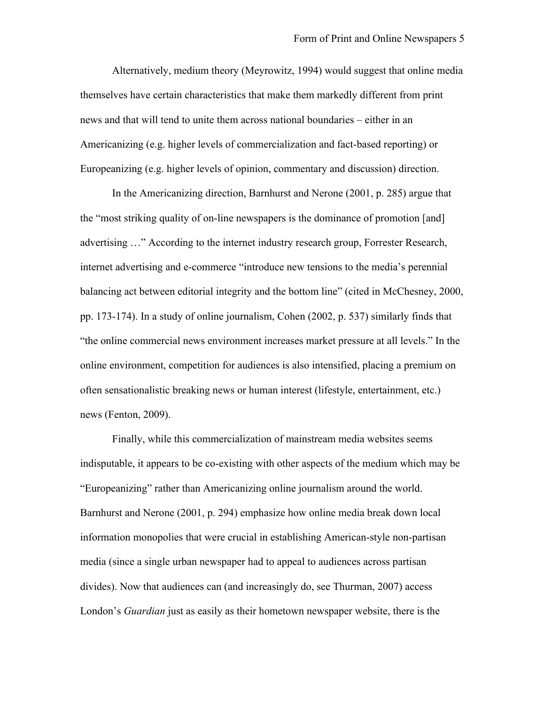Alternatively, medium theory (Meyrowitz, 1994) would suggest that online media themselves have certain characteristics that make them markedly different from print news and that will tend to unite them across national boundaries – either in an Americanizing (e.g. higher levels of commercialization and fact-based reporting) or Europeanizing (e.g. higher levels of opinion, commentary and discussion) direction.

In the Americanizing direction, Barnhurst and Nerone (2001, p. 285) argue that the "most striking quality of on-line newspapers is the dominance of promotion [and] advertising …" According to the internet industry research group, Forrester Research, internet advertising and e-commerce "introduce new tensions to the media's perennial balancing act between editorial integrity and the bottom line" (cited in McChesney, 2000, pp. 173-174). In a study of online journalism, Cohen (2002, p. 537) similarly finds that "the online commercial news environment increases market pressure at all levels." In the online environment, competition for audiences is also intensified, placing a premium on often sensationalistic breaking news or human interest (lifestyle, entertainment, etc.) news (Fenton, 2009).

Finally, while this commercialization of mainstream media websites seems indisputable, it appears to be co-existing with other aspects of the medium which may be "Europeanizing" rather than Americanizing online journalism around the world. Barnhurst and Nerone (2001, p. 294) emphasize how online media break down local information monopolies that were crucial in establishing American-style non-partisan media (since a single urban newspaper had to appeal to audiences across partisan divides). Now that audiences can (and increasingly do, see Thurman, 2007) access London's *Guardian* just as easily as their hometown newspaper website, there is the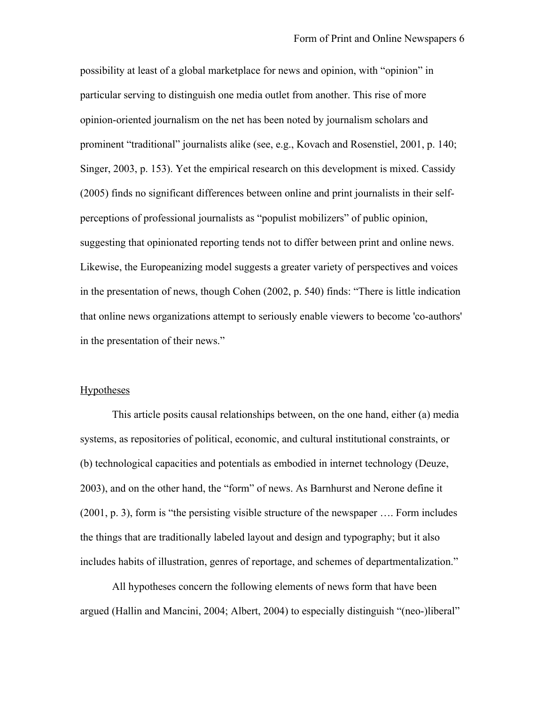possibility at least of a global marketplace for news and opinion, with "opinion" in particular serving to distinguish one media outlet from another. This rise of more opinion-oriented journalism on the net has been noted by journalism scholars and prominent "traditional" journalists alike (see, e.g., Kovach and Rosenstiel, 2001, p. 140; Singer, 2003, p. 153). Yet the empirical research on this development is mixed. Cassidy (2005) finds no significant differences between online and print journalists in their selfperceptions of professional journalists as "populist mobilizers" of public opinion, suggesting that opinionated reporting tends not to differ between print and online news. Likewise, the Europeanizing model suggests a greater variety of perspectives and voices in the presentation of news, though Cohen (2002, p. 540) finds: "There is little indication that online news organizations attempt to seriously enable viewers to become 'co-authors' in the presentation of their news."

#### **Hypotheses**

This article posits causal relationships between, on the one hand, either (a) media systems, as repositories of political, economic, and cultural institutional constraints, or (b) technological capacities and potentials as embodied in internet technology (Deuze, 2003), and on the other hand, the "form" of news. As Barnhurst and Nerone define it (2001, p. 3), form is "the persisting visible structure of the newspaper …. Form includes the things that are traditionally labeled layout and design and typography; but it also includes habits of illustration, genres of reportage, and schemes of departmentalization."

All hypotheses concern the following elements of news form that have been argued (Hallin and Mancini, 2004; Albert, 2004) to especially distinguish "(neo-)liberal"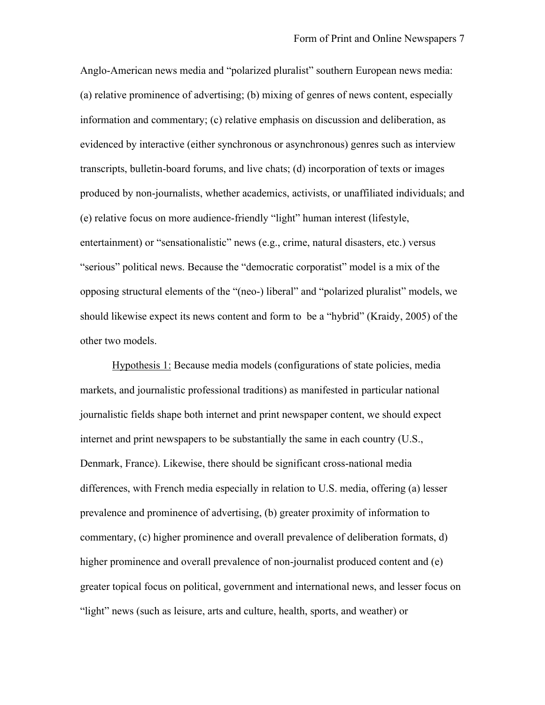Anglo-American news media and "polarized pluralist" southern European news media: (a) relative prominence of advertising; (b) mixing of genres of news content, especially information and commentary; (c) relative emphasis on discussion and deliberation, as evidenced by interactive (either synchronous or asynchronous) genres such as interview transcripts, bulletin-board forums, and live chats; (d) incorporation of texts or images produced by non-journalists, whether academics, activists, or unaffiliated individuals; and (e) relative focus on more audience-friendly "light" human interest (lifestyle, entertainment) or "sensationalistic" news (e.g., crime, natural disasters, etc.) versus "serious" political news. Because the "democratic corporatist" model is a mix of the opposing structural elements of the "(neo-) liberal" and "polarized pluralist" models, we should likewise expect its news content and form to be a "hybrid" (Kraidy, 2005) of the other two models.

Hypothesis 1: Because media models (configurations of state policies, media markets, and journalistic professional traditions) as manifested in particular national journalistic fields shape both internet and print newspaper content, we should expect internet and print newspapers to be substantially the same in each country (U.S., Denmark, France). Likewise, there should be significant cross-national media differences, with French media especially in relation to U.S. media, offering (a) lesser prevalence and prominence of advertising, (b) greater proximity of information to commentary, (c) higher prominence and overall prevalence of deliberation formats, d) higher prominence and overall prevalence of non-journalist produced content and (e) greater topical focus on political, government and international news, and lesser focus on "light" news (such as leisure, arts and culture, health, sports, and weather) or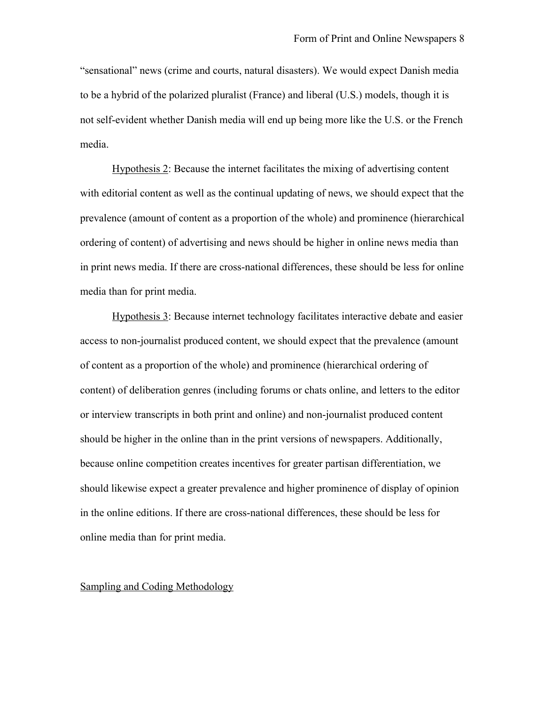"sensational" news (crime and courts, natural disasters). We would expect Danish media to be a hybrid of the polarized pluralist (France) and liberal (U.S.) models, though it is not self-evident whether Danish media will end up being more like the U.S. or the French media.

Hypothesis 2: Because the internet facilitates the mixing of advertising content with editorial content as well as the continual updating of news, we should expect that the prevalence (amount of content as a proportion of the whole) and prominence (hierarchical ordering of content) of advertising and news should be higher in online news media than in print news media. If there are cross-national differences, these should be less for online media than for print media.

Hypothesis 3: Because internet technology facilitates interactive debate and easier access to non-journalist produced content, we should expect that the prevalence (amount of content as a proportion of the whole) and prominence (hierarchical ordering of content) of deliberation genres (including forums or chats online, and letters to the editor or interview transcripts in both print and online) and non-journalist produced content should be higher in the online than in the print versions of newspapers. Additionally, because online competition creates incentives for greater partisan differentiation, we should likewise expect a greater prevalence and higher prominence of display of opinion in the online editions. If there are cross-national differences, these should be less for online media than for print media.

### Sampling and Coding Methodology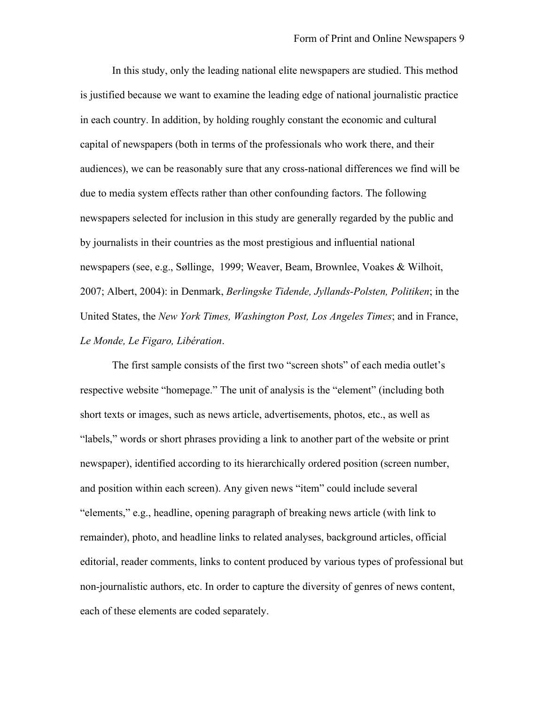In this study, only the leading national elite newspapers are studied. This method is justified because we want to examine the leading edge of national journalistic practice in each country. In addition, by holding roughly constant the economic and cultural capital of newspapers (both in terms of the professionals who work there, and their audiences), we can be reasonably sure that any cross-national differences we find will be due to media system effects rather than other confounding factors. The following newspapers selected for inclusion in this study are generally regarded by the public and by journalists in their countries as the most prestigious and influential national newspapers (see, e.g., Søllinge, 1999; Weaver, Beam, Brownlee, Voakes & Wilhoit, 2007; Albert, 2004): in Denmark, *Berlingske Tidende, Jyllands-Polsten, Politiken*; in the United States, the *New York Times, Washington Post, Los Angeles Times*; and in France, *Le Monde, Le Figaro, Libération*.

The first sample consists of the first two "screen shots" of each media outlet's respective website "homepage." The unit of analysis is the "element" (including both short texts or images, such as news article, advertisements, photos, etc., as well as "labels," words or short phrases providing a link to another part of the website or print newspaper), identified according to its hierarchically ordered position (screen number, and position within each screen). Any given news "item" could include several "elements," e.g., headline, opening paragraph of breaking news article (with link to remainder), photo, and headline links to related analyses, background articles, official editorial, reader comments, links to content produced by various types of professional but non-journalistic authors, etc. In order to capture the diversity of genres of news content, each of these elements are coded separately.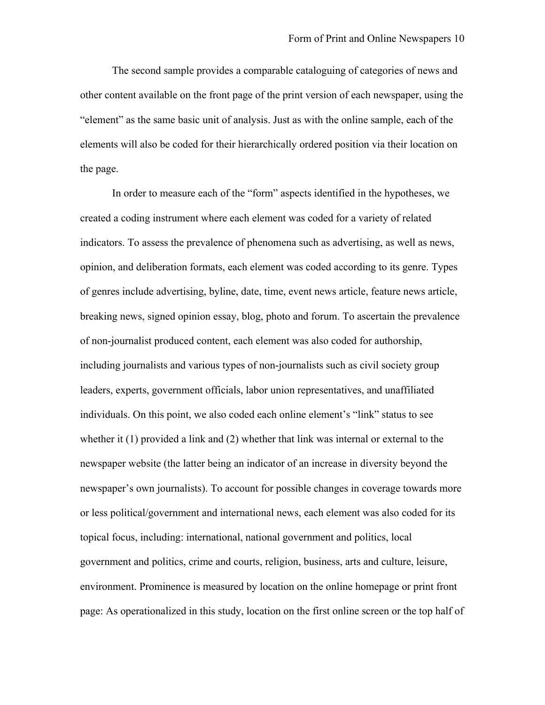The second sample provides a comparable cataloguing of categories of news and other content available on the front page of the print version of each newspaper, using the "element" as the same basic unit of analysis. Just as with the online sample, each of the elements will also be coded for their hierarchically ordered position via their location on the page.

In order to measure each of the "form" aspects identified in the hypotheses, we created a coding instrument where each element was coded for a variety of related indicators. To assess the prevalence of phenomena such as advertising, as well as news, opinion, and deliberation formats, each element was coded according to its genre. Types of genres include advertising, byline, date, time, event news article, feature news article, breaking news, signed opinion essay, blog, photo and forum. To ascertain the prevalence of non-journalist produced content, each element was also coded for authorship, including journalists and various types of non-journalists such as civil society group leaders, experts, government officials, labor union representatives, and unaffiliated individuals. On this point, we also coded each online element's "link" status to see whether it (1) provided a link and (2) whether that link was internal or external to the newspaper website (the latter being an indicator of an increase in diversity beyond the newspaper's own journalists). To account for possible changes in coverage towards more or less political/government and international news, each element was also coded for its topical focus, including: international, national government and politics, local government and politics, crime and courts, religion, business, arts and culture, leisure, environment. Prominence is measured by location on the online homepage or print front page: As operationalized in this study, location on the first online screen or the top half of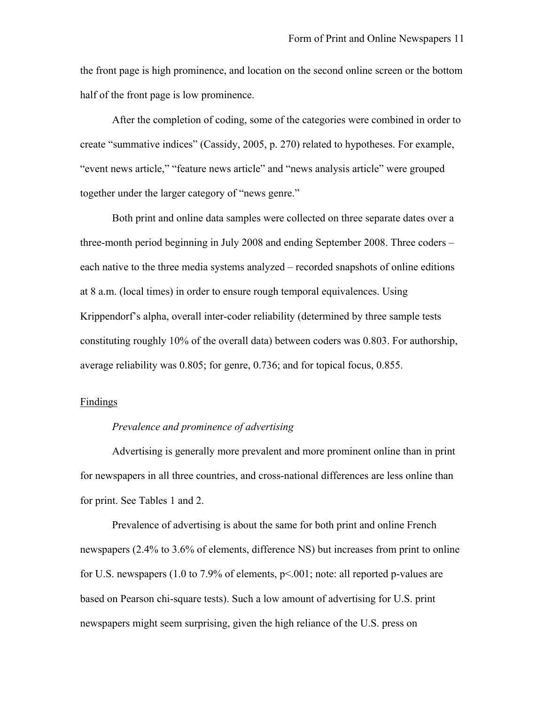the front page is high prominence, and location on the second online screen or the bottom half of the front page is low prominence.

After the completion of coding, some of the categories were combined in order to create "summative indices" (Cassidy, 2005, p. 270) related to hypotheses. For example, "event news article," "feature news article" and "news analysis article" were grouped together under the larger category of "news genre."

Both print and online data samples were collected on three separate dates over a three-month period beginning in July 2008 and ending September 2008. Three coders – each native to the three media systems analyzed – recorded snapshots of online editions at 8 a.m. (local times) in order to ensure rough temporal equivalences. Using Krippendorf's alpha, overall inter-coder reliability (determined by three sample tests constituting roughly 10% of the overall data) between coders was 0.803. For authorship, average reliability was 0.805; for genre, 0.736; and for topical focus, 0.855.

### **Findings**

### *Prevalence and prominence of advertising*

Advertising is generally more prevalent and more prominent online than in print for newspapers in all three countries, and cross-national differences are less online than for print. See Tables 1 and 2.

Prevalence of advertising is about the same for both print and online French newspapers (2.4% to 3.6% of elements, difference NS) but increases from print to online for U.S. newspapers (1.0 to 7.9% of elements,  $p<001$ ; note: all reported p-values are based on Pearson chi-square tests). Such a low amount of advertising for U.S. print newspapers might seem surprising, given the high reliance of the U.S. press on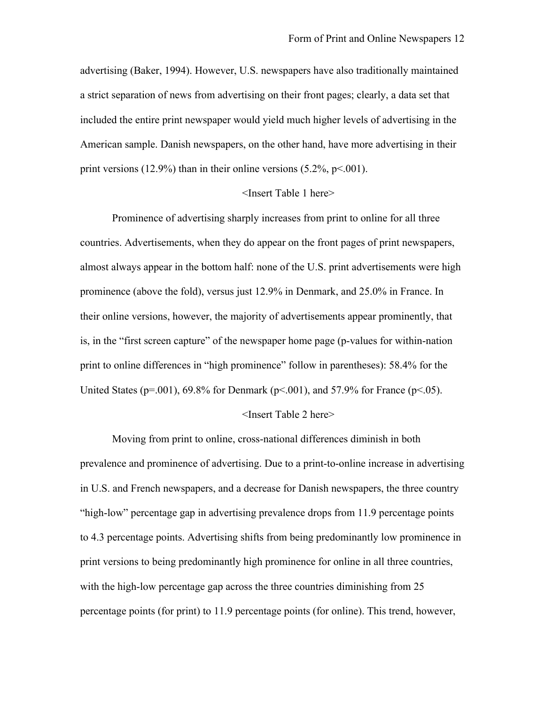advertising (Baker, 1994). However, U.S. newspapers have also traditionally maintained a strict separation of news from advertising on their front pages; clearly, a data set that included the entire print newspaper would yield much higher levels of advertising in the American sample. Danish newspapers, on the other hand, have more advertising in their print versions (12.9%) than in their online versions (5.2%,  $p<0.01$ ).

#### <Insert Table 1 here>

Prominence of advertising sharply increases from print to online for all three countries. Advertisements, when they do appear on the front pages of print newspapers, almost always appear in the bottom half: none of the U.S. print advertisements were high prominence (above the fold), versus just 12.9% in Denmark, and 25.0% in France. In their online versions, however, the majority of advertisements appear prominently, that is, in the "first screen capture" of the newspaper home page (p-values for within-nation print to online differences in "high prominence" follow in parentheses): 58.4% for the United States ( $p = .001$ ), 69.8% for Denmark ( $p < .001$ ), and 57.9% for France ( $p < .05$ ).

#### <Insert Table 2 here>

Moving from print to online, cross-national differences diminish in both prevalence and prominence of advertising. Due to a print-to-online increase in advertising in U.S. and French newspapers, and a decrease for Danish newspapers, the three country "high-low" percentage gap in advertising prevalence drops from 11.9 percentage points to 4.3 percentage points. Advertising shifts from being predominantly low prominence in print versions to being predominantly high prominence for online in all three countries, with the high-low percentage gap across the three countries diminishing from 25 percentage points (for print) to 11.9 percentage points (for online). This trend, however,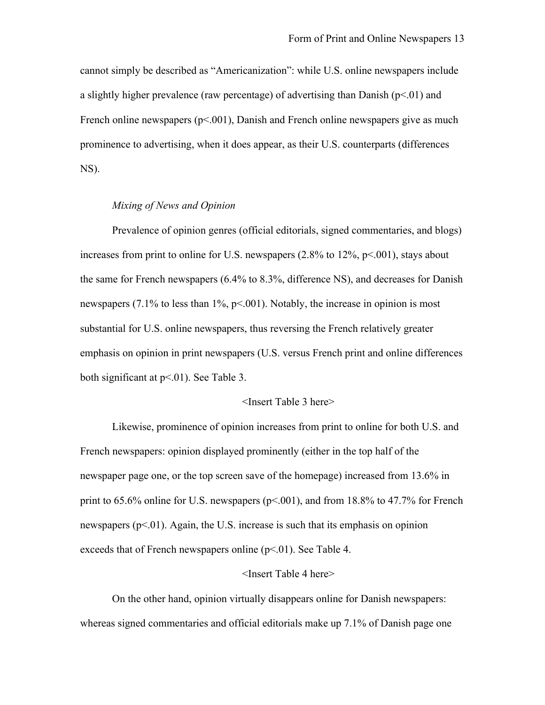cannot simply be described as "Americanization": while U.S. online newspapers include a slightly higher prevalence (raw percentage) of advertising than Danish ( $p<01$ ) and French online newspapers ( $p<0.001$ ), Danish and French online newspapers give as much prominence to advertising, when it does appear, as their U.S. counterparts (differences NS).

## *Mixing of News and Opinion*

Prevalence of opinion genres (official editorials, signed commentaries, and blogs) increases from print to online for U.S. newspapers (2.8% to 12%, p<.001), stays about the same for French newspapers (6.4% to 8.3%, difference NS), and decreases for Danish newspapers (7.1% to less than  $1\%$ ,  $p<.001$ ). Notably, the increase in opinion is most substantial for U.S. online newspapers, thus reversing the French relatively greater emphasis on opinion in print newspapers (U.S. versus French print and online differences both significant at  $p<01$ ). See Table 3.

#### <Insert Table 3 here>

Likewise, prominence of opinion increases from print to online for both U.S. and French newspapers: opinion displayed prominently (either in the top half of the newspaper page one, or the top screen save of the homepage) increased from 13.6% in print to  $65.6\%$  online for U.S. newspapers ( $p<001$ ), and from 18.8% to 47.7% for French newspapers  $(p<.01)$ . Again, the U.S. increase is such that its emphasis on opinion exceeds that of French newspapers online  $(p<0.01)$ . See Table 4.

#### <Insert Table 4 here>

On the other hand, opinion virtually disappears online for Danish newspapers: whereas signed commentaries and official editorials make up 7.1% of Danish page one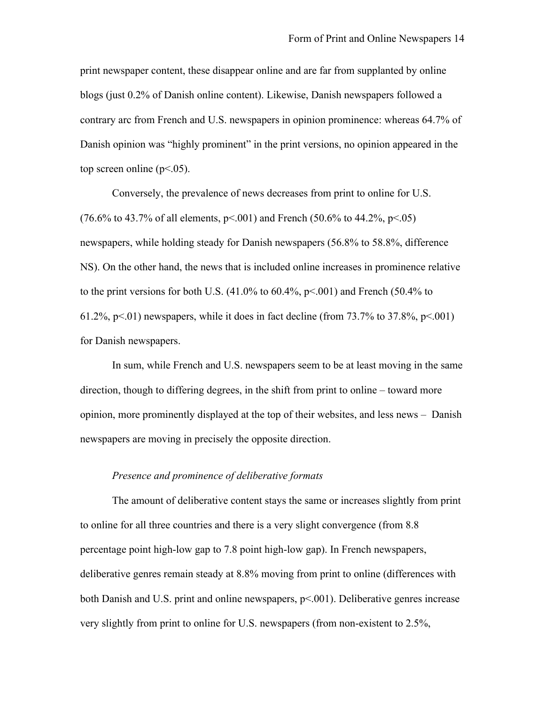print newspaper content, these disappear online and are far from supplanted by online blogs (just 0.2% of Danish online content). Likewise, Danish newspapers followed a contrary arc from French and U.S. newspapers in opinion prominence: whereas 64.7% of Danish opinion was "highly prominent" in the print versions, no opinion appeared in the top screen online  $(p<.05)$ .

Conversely, the prevalence of news decreases from print to online for U.S. (76.6% to 43.7% of all elements,  $p<0.01$ ) and French (50.6% to 44.2%,  $p<0.05$ ) newspapers, while holding steady for Danish newspapers (56.8% to 58.8%, difference NS). On the other hand, the news that is included online increases in prominence relative to the print versions for both U.S.  $(41.0\%$  to  $60.4\%$ ,  $p<.001$ ) and French (50.4% to 61.2%, p<.01) newspapers, while it does in fact decline (from  $73.7\%$  to  $37.8\%$ , p<.001) for Danish newspapers.

In sum, while French and U.S. newspapers seem to be at least moving in the same direction, though to differing degrees, in the shift from print to online – toward more opinion, more prominently displayed at the top of their websites, and less news – Danish newspapers are moving in precisely the opposite direction.

### *Presence and prominence of deliberative formats*

The amount of deliberative content stays the same or increases slightly from print to online for all three countries and there is a very slight convergence (from 8.8 percentage point high-low gap to 7.8 point high-low gap). In French newspapers, deliberative genres remain steady at 8.8% moving from print to online (differences with both Danish and U.S. print and online newspapers, p<.001). Deliberative genres increase very slightly from print to online for U.S. newspapers (from non-existent to 2.5%,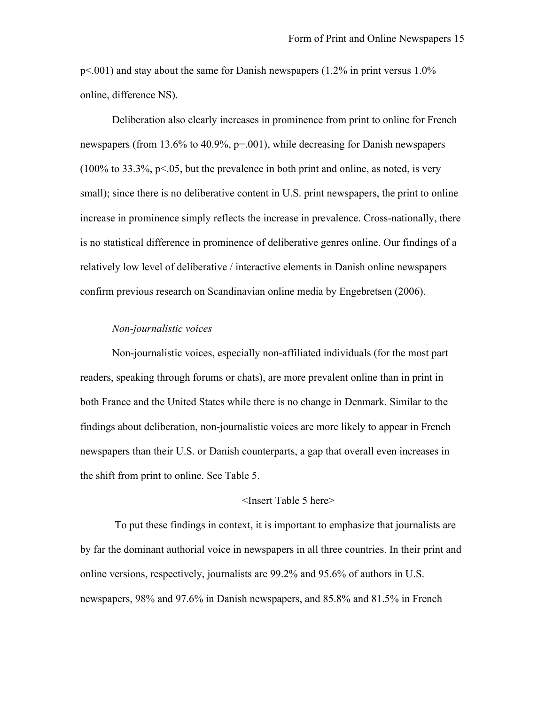$p<.001$ ) and stay about the same for Danish newspapers (1.2% in print versus 1.0% online, difference NS).

Deliberation also clearly increases in prominence from print to online for French newspapers (from 13.6% to 40.9%, p=.001), while decreasing for Danish newspapers  $(100\%$  to 33.3%, p<.05, but the prevalence in both print and online, as noted, is very small); since there is no deliberative content in U.S. print newspapers, the print to online increase in prominence simply reflects the increase in prevalence. Cross-nationally, there is no statistical difference in prominence of deliberative genres online. Our findings of a relatively low level of deliberative / interactive elements in Danish online newspapers confirm previous research on Scandinavian online media by Engebretsen (2006).

### *Non-journalistic voices*

Non-journalistic voices, especially non-affiliated individuals (for the most part readers, speaking through forums or chats), are more prevalent online than in print in both France and the United States while there is no change in Denmark. Similar to the findings about deliberation, non-journalistic voices are more likely to appear in French newspapers than their U.S. or Danish counterparts, a gap that overall even increases in the shift from print to online. See Table 5.

#### <Insert Table 5 here>

 To put these findings in context, it is important to emphasize that journalists are by far the dominant authorial voice in newspapers in all three countries. In their print and online versions, respectively, journalists are 99.2% and 95.6% of authors in U.S. newspapers, 98% and 97.6% in Danish newspapers, and 85.8% and 81.5% in French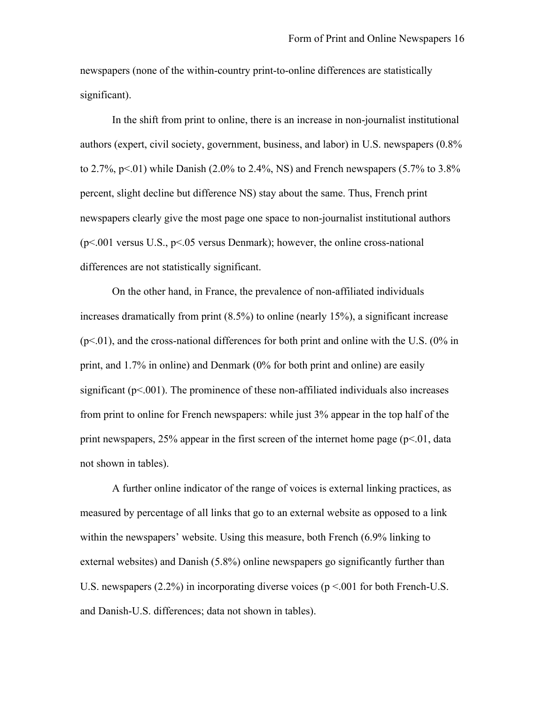newspapers (none of the within-country print-to-online differences are statistically significant).

In the shift from print to online, there is an increase in non-journalist institutional authors (expert, civil society, government, business, and labor) in U.S. newspapers (0.8% to 2.7%,  $p<.01$ ) while Danish (2.0% to 2.4%, NS) and French newspapers (5.7% to 3.8% percent, slight decline but difference NS) stay about the same. Thus, French print newspapers clearly give the most page one space to non-journalist institutional authors  $(p<.001$  versus U.S.,  $p<.05$  versus Denmark); however, the online cross-national differences are not statistically significant.

On the other hand, in France, the prevalence of non-affiliated individuals increases dramatically from print (8.5%) to online (nearly 15%), a significant increase  $(p<.01)$ , and the cross-national differences for both print and online with the U.S.  $(0\%$  in print, and 1.7% in online) and Denmark (0% for both print and online) are easily significant ( $p<001$ ). The prominence of these non-affiliated individuals also increases from print to online for French newspapers: while just 3% appear in the top half of the print newspapers,  $25%$  appear in the first screen of the internet home page ( $p<01$ , data not shown in tables).

A further online indicator of the range of voices is external linking practices, as measured by percentage of all links that go to an external website as opposed to a link within the newspapers' website. Using this measure, both French (6.9% linking to external websites) and Danish (5.8%) online newspapers go significantly further than U.S. newspapers  $(2.2\%)$  in incorporating diverse voices ( $p < 0.01$  for both French-U.S. and Danish-U.S. differences; data not shown in tables).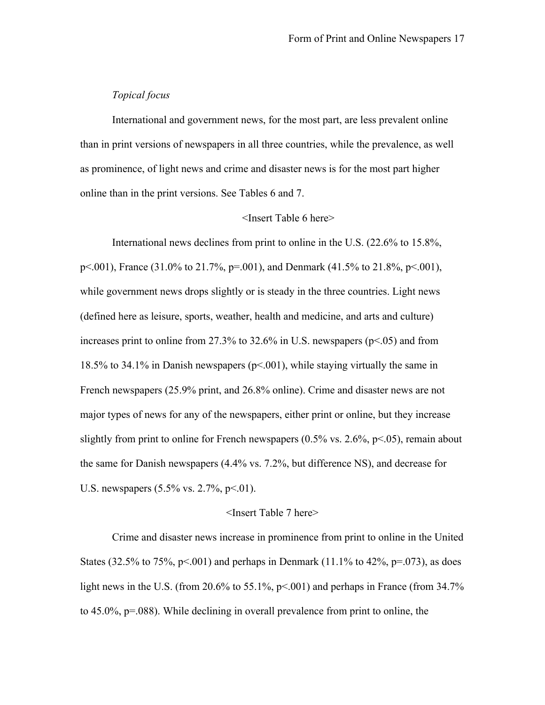### *Topical focus*

International and government news, for the most part, are less prevalent online than in print versions of newspapers in all three countries, while the prevalence, as well as prominence, of light news and crime and disaster news is for the most part higher online than in the print versions. See Tables 6 and 7.

#### <Insert Table 6 here>

International news declines from print to online in the U.S. (22.6% to 15.8%, p < 0.001), France (31.0% to 21.7%, p=.001), and Denmark (41.5% to 21.8%, p < 0.001), while government news drops slightly or is steady in the three countries. Light news (defined here as leisure, sports, weather, health and medicine, and arts and culture) increases print to online from 27.3% to 32.6% in U.S. newspapers ( $p<05$ ) and from 18.5% to 34.1% in Danish newspapers (p<.001), while staying virtually the same in French newspapers (25.9% print, and 26.8% online). Crime and disaster news are not major types of news for any of the newspapers, either print or online, but they increase slightly from print to online for French newspapers  $(0.5\% \text{ vs. } 2.6\% \text{, } p<.05)$ , remain about the same for Danish newspapers (4.4% vs. 7.2%, but difference NS), and decrease for U.S. newspapers  $(5.5\% \text{ vs. } 2.7\%, \text{ p} \le 0.01)$ .

#### <Insert Table 7 here>

Crime and disaster news increase in prominence from print to online in the United States (32.5% to 75%,  $p<0.001$ ) and perhaps in Denmark (11.1% to 42%,  $p=0.0073$ ), as does light news in the U.S. (from 20.6% to 55.1%, p<.001) and perhaps in France (from 34.7% to 45.0%, p=.088). While declining in overall prevalence from print to online, the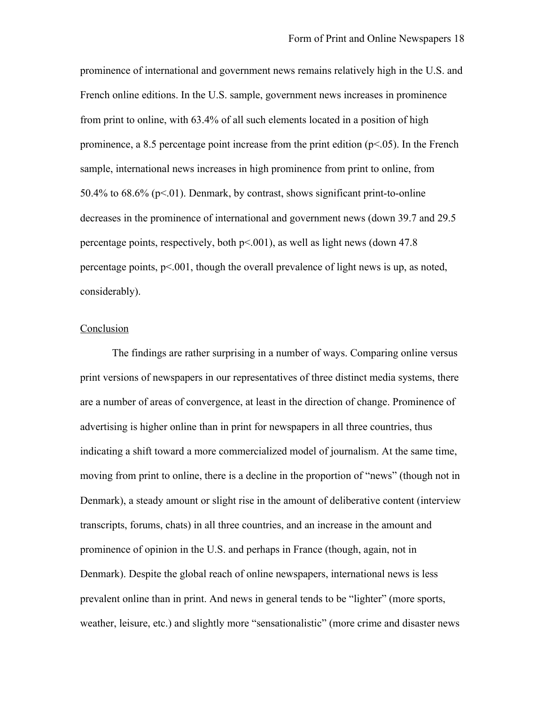prominence of international and government news remains relatively high in the U.S. and French online editions. In the U.S. sample, government news increases in prominence from print to online, with 63.4% of all such elements located in a position of high prominence, a 8.5 percentage point increase from the print edition  $(p<0.05)$ . In the French sample, international news increases in high prominence from print to online, from 50.4% to 68.6% ( $p<01$ ). Denmark, by contrast, shows significant print-to-online decreases in the prominence of international and government news (down 39.7 and 29.5 percentage points, respectively, both p<.001), as well as light news (down 47.8 percentage points, p<.001, though the overall prevalence of light news is up, as noted, considerably).

### Conclusion

The findings are rather surprising in a number of ways. Comparing online versus print versions of newspapers in our representatives of three distinct media systems, there are a number of areas of convergence, at least in the direction of change. Prominence of advertising is higher online than in print for newspapers in all three countries, thus indicating a shift toward a more commercialized model of journalism. At the same time, moving from print to online, there is a decline in the proportion of "news" (though not in Denmark), a steady amount or slight rise in the amount of deliberative content (interview transcripts, forums, chats) in all three countries, and an increase in the amount and prominence of opinion in the U.S. and perhaps in France (though, again, not in Denmark). Despite the global reach of online newspapers, international news is less prevalent online than in print. And news in general tends to be "lighter" (more sports, weather, leisure, etc.) and slightly more "sensationalistic" (more crime and disaster news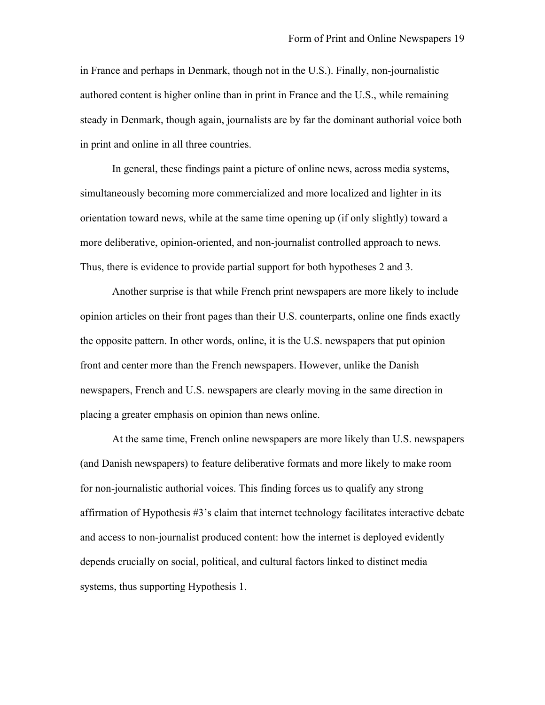in France and perhaps in Denmark, though not in the U.S.). Finally, non-journalistic authored content is higher online than in print in France and the U.S., while remaining steady in Denmark, though again, journalists are by far the dominant authorial voice both in print and online in all three countries.

In general, these findings paint a picture of online news, across media systems, simultaneously becoming more commercialized and more localized and lighter in its orientation toward news, while at the same time opening up (if only slightly) toward a more deliberative, opinion-oriented, and non-journalist controlled approach to news. Thus, there is evidence to provide partial support for both hypotheses 2 and 3.

Another surprise is that while French print newspapers are more likely to include opinion articles on their front pages than their U.S. counterparts, online one finds exactly the opposite pattern. In other words, online, it is the U.S. newspapers that put opinion front and center more than the French newspapers. However, unlike the Danish newspapers, French and U.S. newspapers are clearly moving in the same direction in placing a greater emphasis on opinion than news online.

At the same time, French online newspapers are more likely than U.S. newspapers (and Danish newspapers) to feature deliberative formats and more likely to make room for non-journalistic authorial voices. This finding forces us to qualify any strong affirmation of Hypothesis #3's claim that internet technology facilitates interactive debate and access to non-journalist produced content: how the internet is deployed evidently depends crucially on social, political, and cultural factors linked to distinct media systems, thus supporting Hypothesis 1.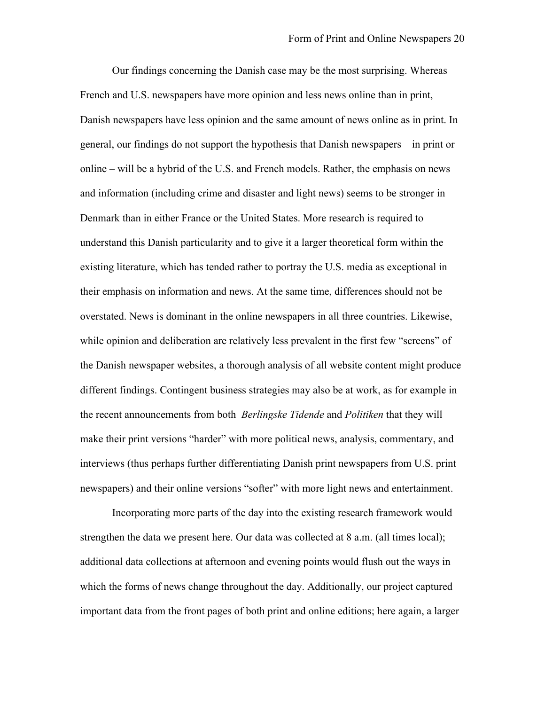Our findings concerning the Danish case may be the most surprising. Whereas French and U.S. newspapers have more opinion and less news online than in print, Danish newspapers have less opinion and the same amount of news online as in print. In general, our findings do not support the hypothesis that Danish newspapers – in print or online – will be a hybrid of the U.S. and French models. Rather, the emphasis on news and information (including crime and disaster and light news) seems to be stronger in Denmark than in either France or the United States. More research is required to understand this Danish particularity and to give it a larger theoretical form within the existing literature, which has tended rather to portray the U.S. media as exceptional in their emphasis on information and news. At the same time, differences should not be overstated. News is dominant in the online newspapers in all three countries. Likewise, while opinion and deliberation are relatively less prevalent in the first few "screens" of the Danish newspaper websites, a thorough analysis of all website content might produce different findings. Contingent business strategies may also be at work, as for example in the recent announcements from both *Berlingske Tidende* and *Politiken* that they will make their print versions "harder" with more political news, analysis, commentary, and interviews (thus perhaps further differentiating Danish print newspapers from U.S. print newspapers) and their online versions "softer" with more light news and entertainment.

Incorporating more parts of the day into the existing research framework would strengthen the data we present here. Our data was collected at 8 a.m. (all times local); additional data collections at afternoon and evening points would flush out the ways in which the forms of news change throughout the day. Additionally, our project captured important data from the front pages of both print and online editions; here again, a larger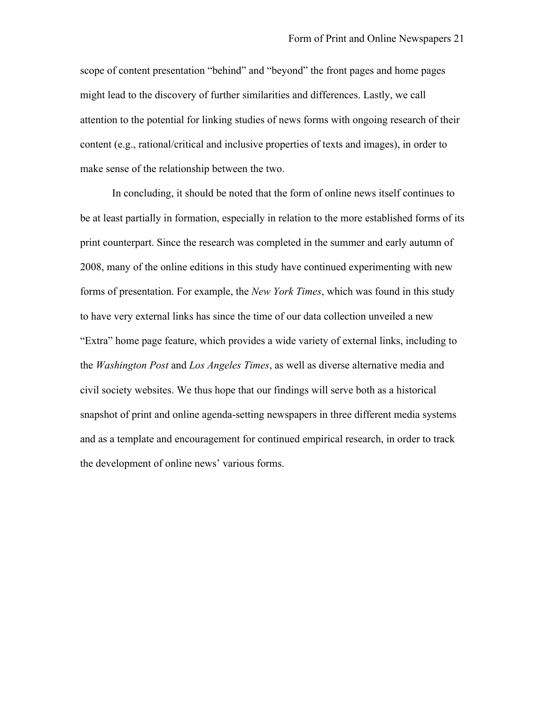scope of content presentation "behind" and "beyond" the front pages and home pages might lead to the discovery of further similarities and differences. Lastly, we call attention to the potential for linking studies of news forms with ongoing research of their content (e.g., rational/critical and inclusive properties of texts and images), in order to make sense of the relationship between the two.

In concluding, it should be noted that the form of online news itself continues to be at least partially in formation, especially in relation to the more established forms of its print counterpart. Since the research was completed in the summer and early autumn of 2008, many of the online editions in this study have continued experimenting with new forms of presentation. For example, the *New York Times*, which was found in this study to have very external links has since the time of our data collection unveiled a new "Extra" home page feature, which provides a wide variety of external links, including to the *Washington Post* and *Los Angeles Times*, as well as diverse alternative media and civil society websites. We thus hope that our findings will serve both as a historical snapshot of print and online agenda-setting newspapers in three different media systems and as a template and encouragement for continued empirical research, in order to track the development of online news' various forms.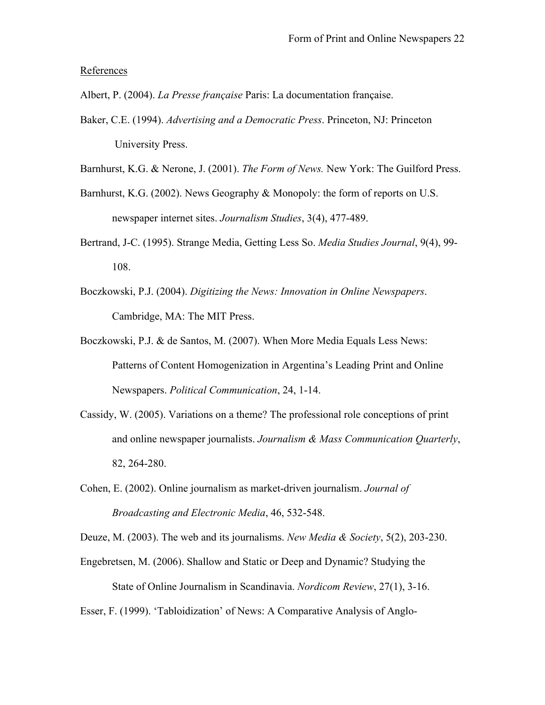#### References

Albert, P. (2004). *La Presse française* Paris: La documentation française.

Baker, C.E. (1994). *Advertising and a Democratic Press*. Princeton, NJ: Princeton University Press.

Barnhurst, K.G. & Nerone, J. (2001). *The Form of News.* New York: The Guilford Press.

- Barnhurst, K.G. (2002). News Geography & Monopoly: the form of reports on U.S. newspaper internet sites. *Journalism Studies*, 3(4), 477-489.
- Bertrand, J-C. (1995). Strange Media, Getting Less So. *Media Studies Journal*, 9(4), 99- 108.
- Boczkowski, P.J. (2004). *Digitizing the News: Innovation in Online Newspapers*. Cambridge, MA: The MIT Press.
- Boczkowski, P.J. & de Santos, M. (2007). When More Media Equals Less News: Patterns of Content Homogenization in Argentina's Leading Print and Online Newspapers. *Political Communication*, 24, 1-14.
- Cassidy, W. (2005). Variations on a theme? The professional role conceptions of print and online newspaper journalists. *Journalism & Mass Communication Quarterly*, 82, 264-280.
- Cohen, E. (2002). Online journalism as market-driven journalism. *Journal of Broadcasting and Electronic Media*, 46, 532-548.

Deuze, M. (2003). The web and its journalisms. *New Media & Society*, 5(2), 203-230.

Engebretsen, M. (2006). Shallow and Static or Deep and Dynamic? Studying the State of Online Journalism in Scandinavia. *Nordicom Review*, 27(1), 3-16.

Esser, F. (1999). 'Tabloidization' of News: A Comparative Analysis of Anglo-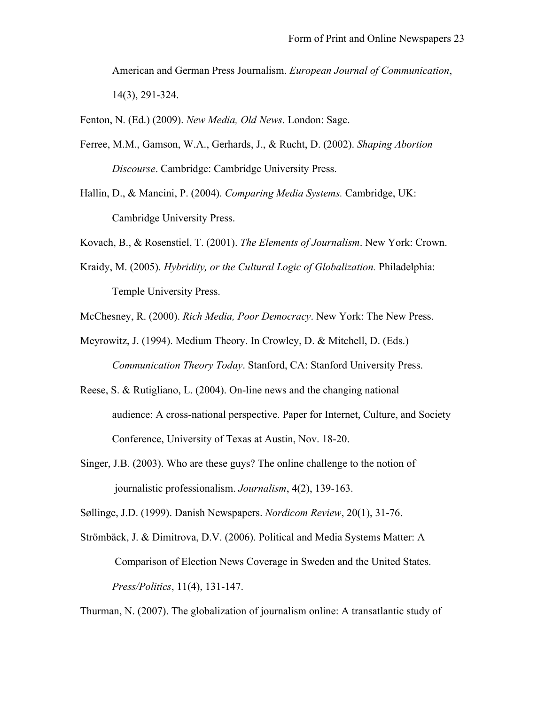American and German Press Journalism. *European Journal of Communication*, 14(3), 291-324.

Fenton, N. (Ed.) (2009). *New Media, Old News*. London: Sage.

- Ferree, M.M., Gamson, W.A., Gerhards, J., & Rucht, D. (2002). *Shaping Abortion Discourse*. Cambridge: Cambridge University Press.
- Hallin, D., & Mancini, P. (2004). *Comparing Media Systems.* Cambridge, UK: Cambridge University Press.

Kovach, B., & Rosenstiel, T. (2001). *The Elements of Journalism*. New York: Crown.

Kraidy, M. (2005). *Hybridity, or the Cultural Logic of Globalization.* Philadelphia: Temple University Press.

McChesney, R. (2000). *Rich Media, Poor Democracy*. New York: The New Press.

Meyrowitz, J. (1994). Medium Theory. In Crowley, D. & Mitchell, D. (Eds.) *Communication Theory Today*. Stanford, CA: Stanford University Press.

- Reese, S. & Rutigliano, L. (2004). On-line news and the changing national audience: A cross-national perspective. Paper for Internet, Culture, and Society Conference, University of Texas at Austin, Nov. 18-20.
- Singer, J.B. (2003). Who are these guys? The online challenge to the notion of journalistic professionalism. *Journalism*, 4(2), 139-163.

Søllinge, J.D. (1999). Danish Newspapers. *Nordicom Review*, 20(1), 31-76.

Strömbäck, J. & Dimitrova, D.V. (2006). Political and Media Systems Matter: A Comparison of Election News Coverage in Sweden and the United States. *Press/Politics*, 11(4), 131-147.

Thurman, N. (2007). The globalization of journalism online: A transatlantic study of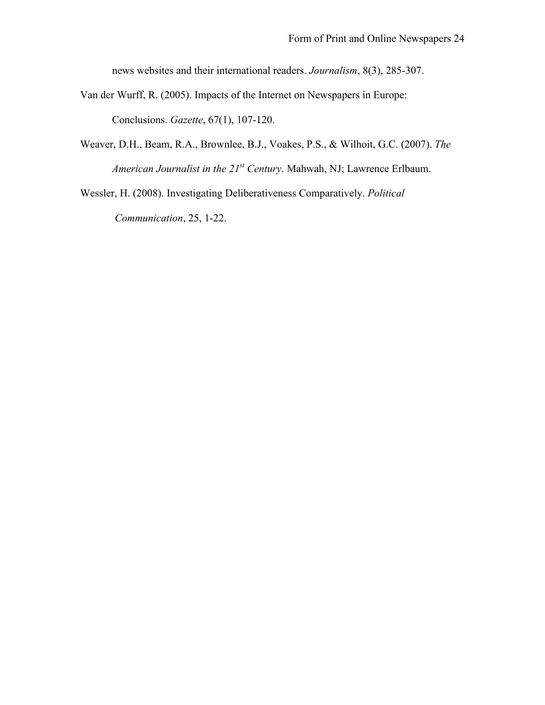news websites and their international readers. *Journalism*, 8(3), 285-307.

- Van der Wurff, R. (2005). Impacts of the Internet on Newspapers in Europe: Conclusions. *Gazette*, 67(1), 107-120.
- Weaver, D.H., Beam, R.A., Brownlee, B.J., Voakes, P.S., & Wilhoit, G.C. (2007). *The American Journalist in the 21st Century*. Mahwah, NJ; Lawrence Erlbaum.

Wessler, H. (2008). Investigating Deliberativeness Comparatively. *Political Communication*, 25, 1-22.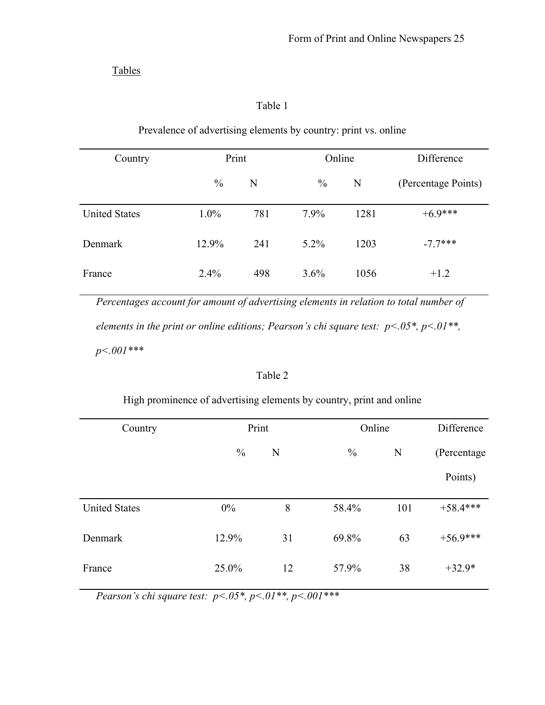## Tables

## Table 1

## Prevalence of advertising elements by country: print vs. online

| Country              |               | Print |               | Online | Difference          |
|----------------------|---------------|-------|---------------|--------|---------------------|
|                      | $\frac{0}{0}$ | N     | $\frac{0}{0}$ | N      | (Percentage Points) |
| <b>United States</b> | $1.0\%$       | 781   | 7.9%          | 1281   | $+6.9***$           |
| Denmark              | 12.9%         | 241   | $5.2\%$       | 1203   | $-7.7***$           |
| France               | 2.4%          | 498   | $3.6\%$       | 1056   | $+1.2$              |

*Percentages account for amount of advertising elements in relation to total number of elements in the print or online editions; Pearson's chi square test: p<.05\*, p<.01\*\*, p<.001\*\*\**

## Table 2

High prominence of advertising elements by country, print and online

| Country              | Print         |    |               | Online |              |  |
|----------------------|---------------|----|---------------|--------|--------------|--|
|                      | $\frac{0}{0}$ | N  | $\frac{0}{0}$ | N      | (Percentage) |  |
|                      |               |    |               |        | Points)      |  |
| <b>United States</b> | $0\%$         | 8  | 58.4%         | 101    | $+58.4***$   |  |
| Denmark              | 12.9%         | 31 | 69.8%         | 63     | $+56.9$ ***  |  |
| France               | 25.0%         | 12 | 57.9%         | 38     | $+32.9*$     |  |

*Pearson's chi square test: p<.05\*, p<.01\*\*, p<.001\*\*\**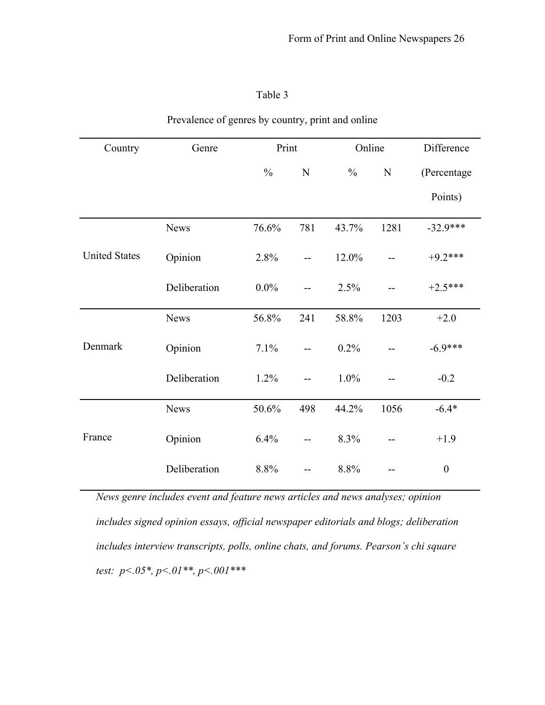## Table 3

| Country              | Genre        | Print         |           | Online        |             | Difference       |
|----------------------|--------------|---------------|-----------|---------------|-------------|------------------|
|                      |              | $\frac{0}{0}$ | ${\bf N}$ | $\frac{0}{0}$ | $\mathbf N$ | (Percentage      |
|                      |              |               |           |               |             | Points)          |
|                      | <b>News</b>  | 76.6%         | 781       | 43.7%         | 1281        | $-32.9***$       |
| <b>United States</b> | Opinion      | 2.8%          | --        | 12.0%         |             | $+9.2$ ***       |
|                      | Deliberation | $0.0\%$       |           | 2.5%          |             | $+2.5***$        |
|                      | <b>News</b>  | 56.8%         | 241       | 58.8%         | 1203        | $+2.0$           |
| Denmark              | Opinion      | 7.1%          |           | 0.2%          |             | $-6.9***$        |
|                      | Deliberation | 1.2%          |           | 1.0%          |             | $-0.2$           |
|                      | <b>News</b>  | 50.6%         | 498       | 44.2%         | 1056        | $-6.4*$          |
| France               | Opinion      | 6.4%          | --        | 8.3%          |             | $+1.9$           |
|                      | Deliberation | 8.8%          |           | 8.8%          |             | $\boldsymbol{0}$ |

## Prevalence of genres by country, print and online

*News genre includes event and feature news articles and news analyses; opinion includes signed opinion essays, official newspaper editorials and blogs; deliberation includes interview transcripts, polls, online chats, and forums. Pearson's chi square test: p<.05\*, p<.01\*\*, p<.001\*\*\**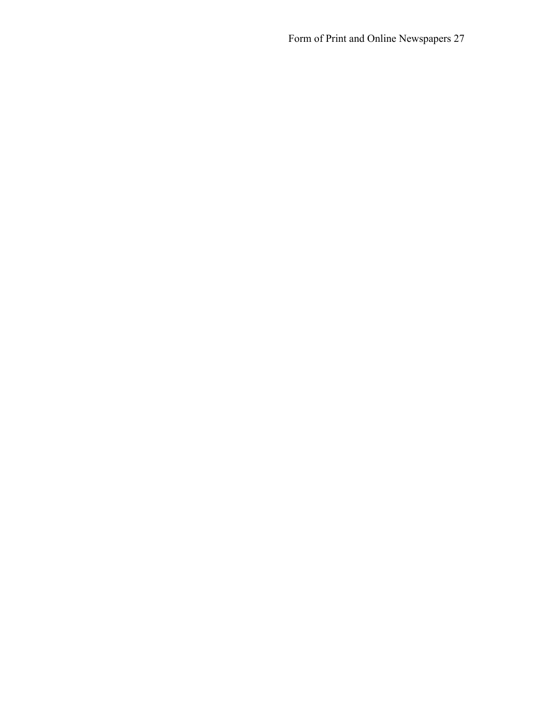Form of Print and Online Newspapers 27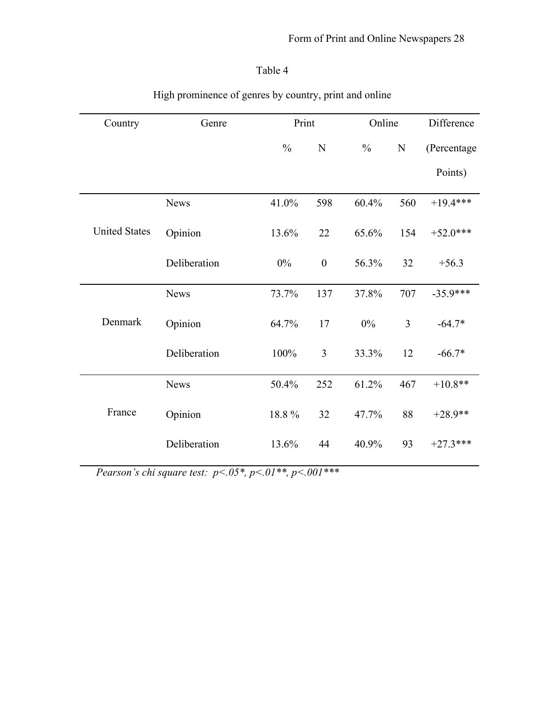## Table 4

| Country              | Genre        | Print         |                  | Online        |                | Difference  |
|----------------------|--------------|---------------|------------------|---------------|----------------|-------------|
|                      |              | $\frac{0}{0}$ | ${\bf N}$        | $\frac{0}{0}$ | ${\bf N}$      | (Percentage |
|                      |              |               |                  |               |                | Points)     |
|                      | <b>News</b>  | 41.0%         | 598              | 60.4%         | 560            | $+19.4***$  |
| <b>United States</b> | Opinion      | 13.6%         | 22               | 65.6%         | 154            | $+52.0***$  |
|                      | Deliberation | $0\%$         | $\boldsymbol{0}$ | 56.3%         | 32             | $+56.3$     |
|                      | <b>News</b>  | 73.7%         | 137              | 37.8%         | 707            | $-35.9***$  |
| Denmark              | Opinion      | 64.7%         | 17               | $0\%$         | $\overline{3}$ | $-64.7*$    |
|                      | Deliberation | 100%          | $\overline{3}$   | 33.3%         | 12             | $-66.7*$    |
|                      | <b>News</b>  | 50.4%         | 252              | 61.2%         | 467            | $+10.8**$   |
| France               | Opinion      | 18.8%         | 32               | 47.7%         | 88             | $+28.9**$   |
|                      | Deliberation | 13.6%         | 44               | 40.9%         | 93             | $+27.3***$  |

# High prominence of genres by country, print and online

*Pearson's chi square test: p<.05\*, p<.01\*\*, p<.001\*\*\**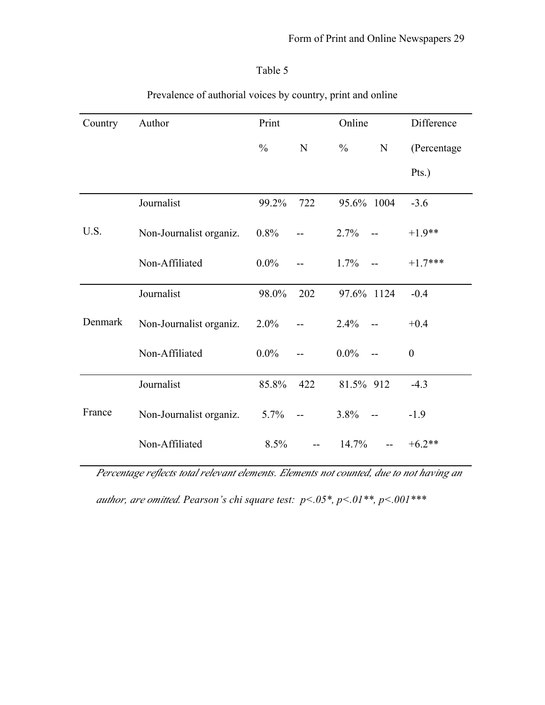| anie |  |
|------|--|
|      |  |

| Country | Author                  | Print         |           | Online        |              | Difference       |
|---------|-------------------------|---------------|-----------|---------------|--------------|------------------|
|         |                         | $\frac{0}{0}$ | ${\bf N}$ | $\frac{0}{0}$ | ${\bf N}$    | (Percentage      |
|         |                         |               |           |               |              | Pts.)            |
|         | Journalist              | 99.2%         | 722       | 95.6% 1004    |              | $-3.6$           |
| U.S.    | Non-Journalist organiz. | $0.8\%$       |           | $2.7\%$       | $-$          | $+1.9**$         |
|         | Non-Affiliated          | $0.0\%$       |           | $1.7\%$       |              | $+1.7***$        |
|         | Journalist              | 98.0%         | 202       | 97.6% 1124    |              | $-0.4$           |
| Denmark | Non-Journalist organiz. | $2.0\%$       |           | 2.4%          | --           | $+0.4$           |
|         | Non-Affiliated          | $0.0\%$       |           | $0.0\%$       | $\mathbf{u}$ | $\boldsymbol{0}$ |
|         | Journalist              | 85.8%         | 422       | 81.5% 912     |              | $-4.3$           |
| France  | Non-Journalist organiz. | 5.7%          |           | 3.8%          |              | $-1.9$           |
|         | Non-Affiliated          | 8.5%          |           | 14.7%         |              | $+6.2**$         |

Prevalence of authorial voices by country, print and online

*Percentage reflects total relevant elements. Elements not counted, due to not having an* 

*author, are omitted. Pearson's chi square test: p<.05\*, p<.01\*\*, p<.001\*\*\**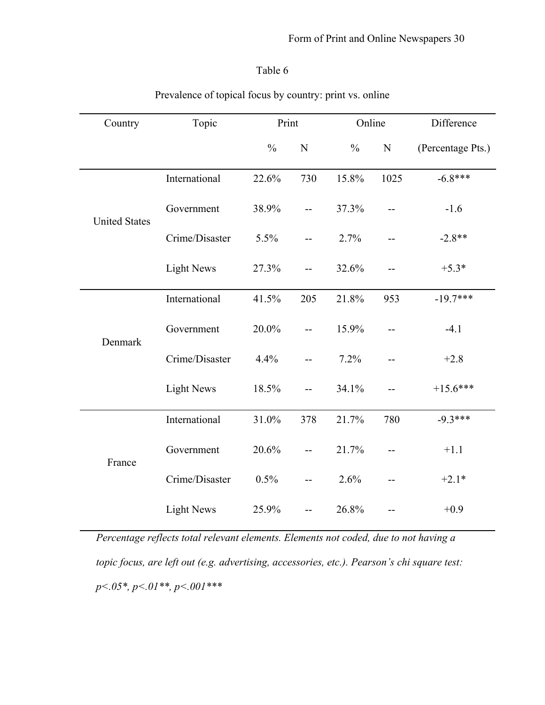## Table 6

| Country              | Topic             | Print         |     | Online        |      | Difference        |
|----------------------|-------------------|---------------|-----|---------------|------|-------------------|
|                      |                   | $\frac{0}{0}$ | N   | $\frac{0}{0}$ | N    | (Percentage Pts.) |
|                      | International     | 22.6%         | 730 | 15.8%         | 1025 | $-6.8***$         |
| <b>United States</b> | Government        | 38.9%         | $-$ | 37.3%         |      | $-1.6$            |
|                      | Crime/Disaster    | 5.5%          |     | 2.7%          |      | $-2.8**$          |
|                      | <b>Light News</b> | 27.3%         | --  | 32.6%         |      | $+5.3*$           |
|                      | International     | 41.5%         | 205 | 21.8%         | 953  | $-19.7***$        |
| Denmark              | Government        | 20.0%         | $-$ | 15.9%         |      | $-4.1$            |
|                      | Crime/Disaster    | 4.4%          | --  | 7.2%          |      | $+2.8$            |
|                      | <b>Light News</b> | 18.5%         |     | 34.1%         |      | $+15.6***$        |
|                      | International     | 31.0%         | 378 | 21.7%         | 780  | $-9.3***$         |
| France               | Government        | 20.6%         | --  | 21.7%         |      | $+1.1$            |
|                      | Crime/Disaster    | 0.5%          |     | 2.6%          |      | $+2.1*$           |
|                      | <b>Light News</b> | 25.9%         |     | 26.8%         |      | $+0.9$            |

Prevalence of topical focus by country: print vs. online

*Percentage reflects total relevant elements. Elements not coded, due to not having a topic focus, are left out (e.g. advertising, accessories, etc.). Pearson's chi square test: p<.05\*, p<.01\*\*, p<.001\*\*\**